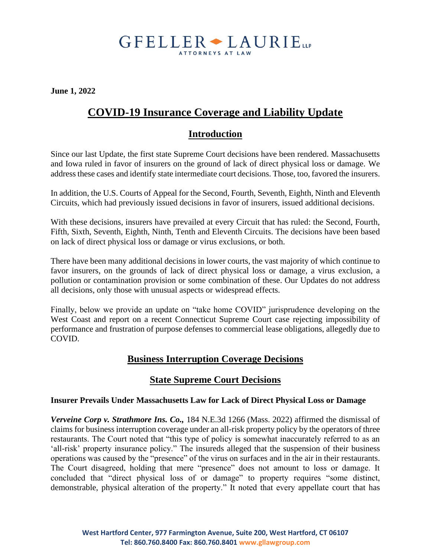# GFELLER - LAURIE

**June 1, 2022**

## **COVID-19 Insurance Coverage and Liability Update**

## **Introduction**

Since our last Update, the first state Supreme Court decisions have been rendered. Massachusetts and Iowa ruled in favor of insurers on the ground of lack of direct physical loss or damage. We address these cases and identify state intermediate court decisions. Those, too, favored the insurers.

In addition, the U.S. Courts of Appeal for the Second, Fourth, Seventh, Eighth, Ninth and Eleventh Circuits, which had previously issued decisions in favor of insurers, issued additional decisions.

With these decisions, insurers have prevailed at every Circuit that has ruled: the Second, Fourth, Fifth, Sixth, Seventh, Eighth, Ninth, Tenth and Eleventh Circuits. The decisions have been based on lack of direct physical loss or damage or virus exclusions, or both.

There have been many additional decisions in lower courts, the vast majority of which continue to favor insurers, on the grounds of lack of direct physical loss or damage, a virus exclusion, a pollution or contamination provision or some combination of these. Our Updates do not address all decisions, only those with unusual aspects or widespread effects.

Finally, below we provide an update on "take home COVID" jurisprudence developing on the West Coast and report on a recent Connecticut Supreme Court case rejecting impossibility of performance and frustration of purpose defenses to commercial lease obligations, allegedly due to COVID.

## **Business Interruption Coverage Decisions**

## **State Supreme Court Decisions**

#### **Insurer Prevails Under Massachusetts Law for Lack of Direct Physical Loss or Damage**

*Verveine Corp v. Strathmore Ins. Co.,* 184 N.E.3d 1266 (Mass. 2022) affirmed the dismissal of claims for business interruption coverage under an all-risk property policy by the operators of three restaurants. The Court noted that "this type of policy is somewhat inaccurately referred to as an 'all-risk' property insurance policy." The insureds alleged that the suspension of their business operations was caused by the "presence" of the virus on surfaces and in the air in their restaurants. The Court disagreed, holding that mere "presence" does not amount to loss or damage. It concluded that "direct physical loss of or damage" to property requires "some distinct, demonstrable, physical alteration of the property." It noted that every appellate court that has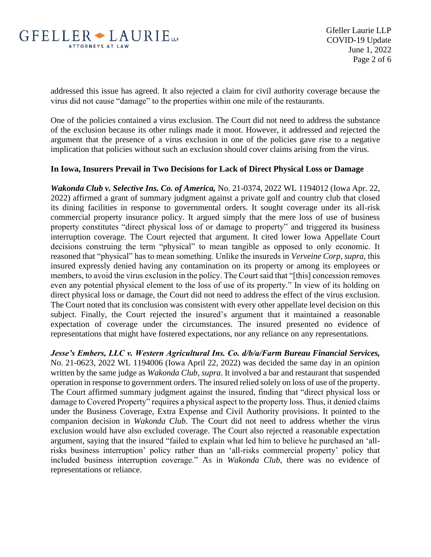

addressed this issue has agreed. It also rejected a claim for civil authority coverage because the virus did not cause "damage" to the properties within one mile of the restaurants.

One of the policies contained a virus exclusion. The Court did not need to address the substance of the exclusion because its other rulings made it moot. However, it addressed and rejected the argument that the presence of a virus exclusion in one of the policies gave rise to a negative implication that policies without such an exclusion should cover claims arising from the virus.

#### **In Iowa, Insurers Prevail in Two Decisions for Lack of Direct Physical Loss or Damage**

*Wakonda Club v. Selective Ins. Co. of America,* No. 21-0374, 2022 WL 1194012 (Iowa Apr. 22, 2022) affirmed a grant of summary judgment against a private golf and country club that closed its dining facilities in response to governmental orders. It sought coverage under its all-risk commercial property insurance policy. It argued simply that the mere loss of use of business property constitutes "direct physical loss of or damage to property" and triggered its business interruption coverage. The Court rejected that argument. It cited lower Iowa Appellate Court decisions construing the term "physical" to mean tangible as opposed to only economic. It reasoned that "physical" has to mean something. Unlike the insureds in *Verveine Corp, supra,* this insured expressly denied having any contamination on its property or among its employees or members, to avoid the virus exclusion in the policy. The Court said that "[this] concession removes even any potential physical element to the loss of use of its property." In view of its holding on direct physical loss or damage, the Court did not need to address the effect of the virus exclusion. The Court noted that its conclusion was consistent with every other appellate level decision on this subject. Finally, the Court rejected the insured's argument that it maintained a reasonable expectation of coverage under the circumstances. The insured presented no evidence of representations that might have fostered expectations, nor any reliance on any representations.

*Jesse's Embers, LLC v. Western Agricultural Ins. Co. d/b/a/Farm Bureau Financial Services,* No. 21-0623, 2022 WL 1194006 (Iowa April 22, 2022) was decided the same day in an opinion written by the same judge as *Wakonda Club, supra*. It involved a bar and restaurant that suspended operation in response to government orders. The insured relied solely on loss of use of the property. The Court affirmed summary judgment against the insured, finding that "direct physical loss or damage to Covered Property" requires a physical aspect to the property loss. Thus, it denied claims under the Business Coverage, Extra Expense and Civil Authority provisions. It pointed to the companion decision in *Wakonda Club*. The Court did not need to address whether the virus exclusion would have also excluded coverage. The Court also rejected a reasonable expectation argument, saying that the insured "failed to explain what led him to believe he purchased an 'allrisks business interruption' policy rather than an 'all-risks commercial property' policy that included business interruption coverage." As in *Wakonda Club*, there was no evidence of representations or reliance.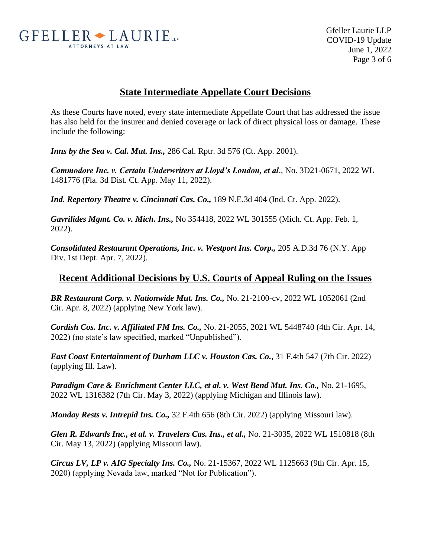

## **State Intermediate Appellate Court Decisions**

As these Courts have noted, every state intermediate Appellate Court that has addressed the issue has also held for the insurer and denied coverage or lack of direct physical loss or damage. These include the following:

*Inns by the Sea v. Cal. Mut. Ins.,* 286 Cal. Rptr. 3d 576 (Ct. App. 2001).

*Commodore Inc. v. Certain Underwriters at Lloyd's London, et al*., No. 3D21-0671, 2022 WL 1481776 (Fla. 3d Dist. Ct. App. May 11, 2022).

*Ind. Repertory Theatre v. Cincinnati Cas. Co.,* 189 N.E.3d 404 (Ind. Ct. App. 2022).

*Gavrilides Mgmt. Co. v. Mich. Ins.,* No 354418, 2022 WL 301555 (Mich. Ct. App. Feb. 1, 2022).

*Consolidated Restaurant Operations, Inc. v. Westport Ins. Corp.,* 205 A.D.3d 76 (N.Y. App Div. 1st Dept. Apr. 7, 2022).

### **Recent Additional Decisions by U.S. Courts of Appeal Ruling on the Issues**

*BR Restaurant Corp. v. Nationwide Mut. Ins. Co.,* No. 21-2100-cv, 2022 WL 1052061 (2nd Cir. Apr. 8, 2022) (applying New York law).

*Cordish Cos. Inc. v. Affiliated FM Ins. Co.,* No. 21-2055, 2021 WL 5448740 (4th Cir. Apr. 14, 2022) (no state's law specified, marked "Unpublished").

*East Coast Entertainment of Durham LLC v. Houston Cas. Co.*, 31 F.4th 547 (7th Cir. 2022) (applying Ill. Law).

*Paradigm Care & Enrichment Center LLC, et al. v. West Bend Mut. Ins. Co.,* No. 21-1695, 2022 WL 1316382 (7th Cir. May 3, 2022) (applying Michigan and Illinois law).

*Monday Rests v. Intrepid Ins. Co.,* 32 F.4th 656 (8th Cir. 2022) (applying Missouri law).

*Glen R. Edwards Inc., et al. v. Travelers Cas. Ins., et al.,* No. 21-3035, 2022 WL 1510818 (8th Cir. May 13, 2022) (applying Missouri law).

*Circus LV, LP v. AIG Specialty Ins. Co.,* No. 21-15367, 2022 WL 1125663 (9th Cir. Apr. 15, 2020) (applying Nevada law, marked "Not for Publication").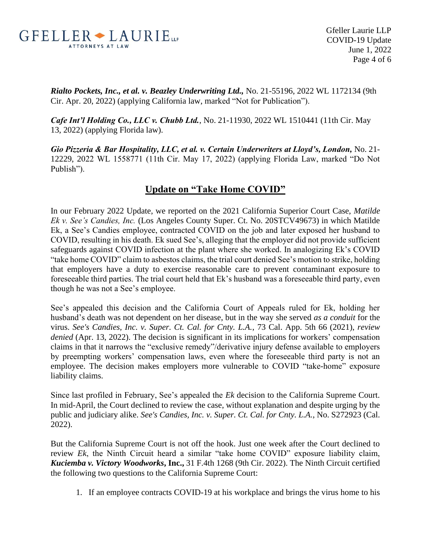

*Rialto Pockets, Inc., et al. v. Beazley Underwriting Ltd.,* No. 21-55196, 2022 WL 1172134 (9th Cir. Apr. 20, 2022) (applying California law, marked "Not for Publication").

*Cafe Int'l Holding Co., LLC v. Chubb Ltd.*, No. 21-11930, 2022 WL 1510441 (11th Cir. May 13, 2022) (applying Florida law).

*Gio Pizzeria & Bar Hospitality, LLC, et al. v. Certain Underwriters at Lloyd's, London,* No. 21- 12229, 2022 WL 1558771 (11th Cir. May 17, 2022) (applying Florida Law, marked "Do Not Publish").

## **Update on "Take Home COVID"**

In our February 2022 Update, we reported on the 2021 California Superior Court Case, *Matilde Ek v. See's Candies, Inc.* (Los Angeles County Super. Ct. No. 20STCV49673) in which Matilde Ek, a See's Candies employee, contracted COVID on the job and later exposed her husband to COVID, resulting in his death. Ek sued See's, alleging that the employer did not provide sufficient safeguards against COVID infection at the plant where she worked. In analogizing Ek's COVID "take home COVID" claim to asbestos claims, the trial court denied See's motion to strike, holding that employers have a duty to exercise reasonable care to prevent contaminant exposure to foreseeable third parties. The trial court held that Ek's husband was a foreseeable third party, even though he was not a See's employee.

See's appealed this decision and the California Court of Appeals ruled for Ek, holding her husband's death was not dependent on her disease, but in the way she served *as a conduit* for the virus. *See's Candies, Inc. v. Super. Ct. Cal. for Cnty. L.A.*, 73 Cal. App. 5th 66 (2021), *review denied* (Apr. 13, 2022). The decision is significant in its implications for workers' compensation claims in that it narrows the "exclusive remedy"/derivative injury defense available to employers by preempting workers' compensation laws, even where the foreseeable third party is not an employee. The decision makes employers more vulnerable to COVID "take-home" exposure liability claims.

Since last profiled in February, See's appealed the *Ek* decision to the California Supreme Court. In mid-April, the Court declined to review the case, without explanation and despite urging by the public and judiciary alike. *See's Candies, Inc. v. Super. Ct. Cal. for Cnty. L.A.*, No. S272923 (Cal. 2022).

But the California Supreme Court is not off the hook. Just one week after the Court declined to review *Ek*, the Ninth Circuit heard a similar "take home COVID" exposure liability claim, *Kuciemba v. Victory Woodworks***, Inc.,** 31 F.4th 1268 (9th Cir. 2022). The Ninth Circuit certified the following two questions to the California Supreme Court:

1. If an employee contracts COVID-19 at his workplace and brings the virus home to his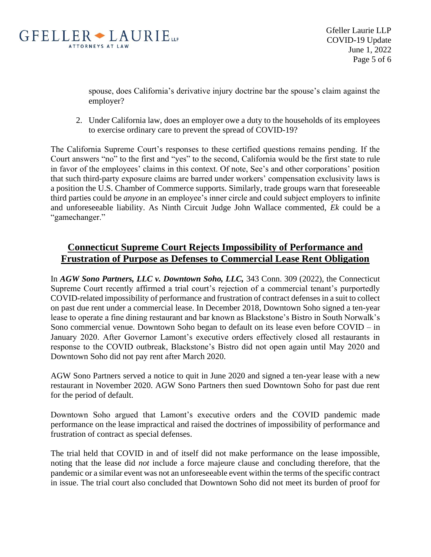

spouse, does California's derivative injury doctrine bar the spouse's claim against the employer?

2. Under California law, does an employer owe a duty to the households of its employees to exercise ordinary care to prevent the spread of COVID-19?

The California Supreme Court's responses to these certified questions remains pending. If the Court answers "no" to the first and "yes" to the second, California would be the first state to rule in favor of the employees' claims in this context. Of note, See's and other corporations' position that such third-party exposure claims are barred under workers' compensation exclusivity laws is a position the U.S. Chamber of Commerce supports. Similarly, trade groups warn that foreseeable third parties could be *anyone* in an employee's inner circle and could subject employers to infinite and unforeseeable liability. As Ninth Circuit Judge John Wallace commented, *Ek* could be a "gamechanger."

## **Connecticut Supreme Court Rejects Impossibility of Performance and Frustration of Purpose as Defenses to Commercial Lease Rent Obligation**

In *AGW Sono Partners, LLC v. Downtown Soho, LLC,* 343 Conn. 309 (2022), the Connecticut Supreme Court recently affirmed a trial court's rejection of a commercial tenant's purportedly COVID-related impossibility of performance and frustration of contract defenses in a suit to collect on past due rent under a commercial lease. In December 2018, Downtown Soho signed a ten-year lease to operate a fine dining restaurant and bar known as Blackstone's Bistro in South Norwalk's Sono commercial venue. Downtown Soho began to default on its lease even before COVID – in January 2020. After Governor Lamont's executive orders effectively closed all restaurants in response to the COVID outbreak, Blackstone's Bistro did not open again until May 2020 and Downtown Soho did not pay rent after March 2020.

AGW Sono Partners served a notice to quit in June 2020 and signed a ten-year lease with a new restaurant in November 2020. AGW Sono Partners then sued Downtown Soho for past due rent for the period of default.

Downtown Soho argued that Lamont's executive orders and the COVID pandemic made performance on the lease impractical and raised the doctrines of impossibility of performance and frustration of contract as special defenses.

The trial held that COVID in and of itself did not make performance on the lease impossible, noting that the lease did *not* include a force majeure clause and concluding therefore, that the pandemic or a similar event was not an unforeseeable event within the terms of the specific contract in issue. The trial court also concluded that Downtown Soho did not meet its burden of proof for